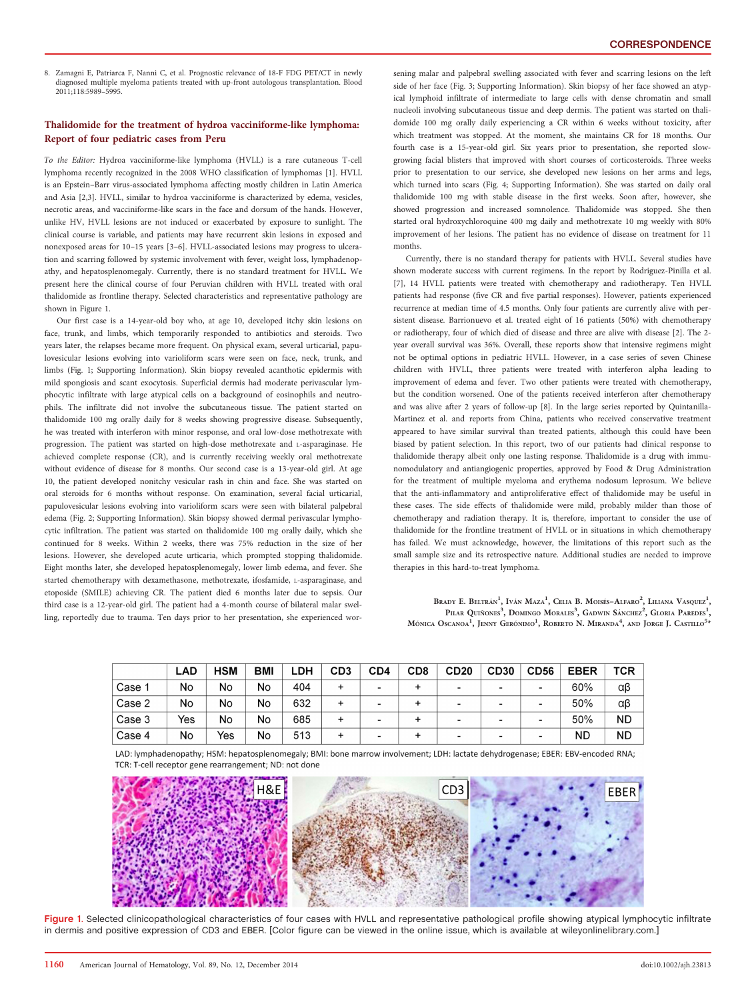8. Zamagni E, Patriarca F, Nanni C, et al. Prognostic relevance of 18-F FDG PET/CT in newly diagnosed multiple myeloma patients treated with up-front autologous transplantation. Blood 2011;118:5989–5995.

## Thalidomide for the treatment of hydroa vacciniforme-like lymphoma: Report of four pediatric cases from Peru

To the Editor: Hydroa vacciniforme-like lymphoma (HVLL) is a rare cutaneous T-cell lymphoma recently recognized in the 2008 WHO classification of lymphomas [1]. HVLL is an Epstein–Barr virus-associated lymphoma affecting mostly children in Latin America and Asia [2,3]. HVLL, similar to hydroa vacciniforme is characterized by edema, vesicles, necrotic areas, and vacciniforme-like scars in the face and dorsum of the hands. However, unlike HV, HVLL lesions are not induced or exacerbated by exposure to sunlight. The clinical course is variable, and patients may have recurrent skin lesions in exposed and nonexposed areas for 10–15 years [3–6]. HVLL-associated lesions may progress to ulceration and scarring followed by systemic involvement with fever, weight loss, lymphadenopathy, and hepatosplenomegaly. Currently, there is no standard treatment for HVLL. We present here the clinical course of four Peruvian children with HVLL treated with oral thalidomide as frontline therapy. Selected characteristics and representative pathology are shown in Figure 1.

Our first case is a 14-year-old boy who, at age 10, developed itchy skin lesions on face, trunk, and limbs, which temporarily responded to antibiotics and steroids. Two years later, the relapses became more frequent. On physical exam, several urticarial, papulovesicular lesions evolving into varioliform scars were seen on face, neck, trunk, and limbs (Fig. 1; Supporting Information). Skin biopsy revealed acanthotic epidermis with mild spongiosis and scant exocytosis. Superficial dermis had moderate perivascular lymphocytic infiltrate with large atypical cells on a background of eosinophils and neutrophils. The infiltrate did not involve the subcutaneous tissue. The patient started on thalidomide 100 mg orally daily for 8 weeks showing progressive disease. Subsequently, he was treated with interferon with minor response, and oral low-dose methotrexate with progression. The patient was started on high-dose methotrexate and L-asparaginase. He achieved complete response (CR), and is currently receiving weekly oral methotrexate without evidence of disease for 8 months. Our second case is a 13-year-old girl. At age 10, the patient developed nonitchy vesicular rash in chin and face. She was started on oral steroids for 6 months without response. On examination, several facial urticarial, papulovesicular lesions evolving into varioliform scars were seen with bilateral palpebral edema (Fig. 2; Supporting Information). Skin biopsy showed dermal perivascular lymphocytic infiltration. The patient was started on thalidomide 100 mg orally daily, which she continued for 8 weeks. Within 2 weeks, there was 75% reduction in the size of her lesions. However, she developed acute urticaria, which prompted stopping thalidomide. Eight months later, she developed hepatosplenomegaly, lower limb edema, and fever. She started chemotherapy with dexamethasone, methotrexate, ifosfamide, L-asparaginase, and etoposide (SMILE) achieving CR. The patient died 6 months later due to sepsis. Our third case is a 12-year-old girl. The patient had a 4-month course of bilateral malar swelling, reportedly due to trauma. Ten days prior to her presentation, she experienced worsening malar and palpebral swelling associated with fever and scarring lesions on the left side of her face (Fig. 3; Supporting Information). Skin biopsy of her face showed an atypical lymphoid infiltrate of intermediate to large cells with dense chromatin and small nucleoli involving subcutaneous tissue and deep dermis. The patient was started on thalidomide 100 mg orally daily experiencing a CR within 6 weeks without toxicity, after which treatment was stopped. At the moment, she maintains CR for 18 months. Our fourth case is a 15-year-old girl. Six years prior to presentation, she reported slowgrowing facial blisters that improved with short courses of corticosteroids. Three weeks prior to presentation to our service, she developed new lesions on her arms and legs, which turned into scars (Fig. 4; Supporting Information). She was started on daily oral thalidomide 100 mg with stable disease in the first weeks. Soon after, however, she showed progression and increased somnolence. Thalidomide was stopped. She then started oral hydroxychloroquine 400 mg daily and methotrexate 10 mg weekly with 80% improvement of her lesions. The patient has no evidence of disease on treatment for 11 months.

Currently, there is no standard therapy for patients with HVLL. Several studies have shown moderate success with current regimens. In the report by Rodriguez-Pinilla et al. [7], 14 HVLL patients were treated with chemotherapy and radiotherapy. Ten HVLL patients had response (five CR and five partial responses). However, patients experienced recurrence at median time of 4.5 months. Only four patients are currently alive with persistent disease. Barrionuevo et al. treated eight of 16 patients (50%) with chemotherapy or radiotherapy, four of which died of disease and three are alive with disease [2]. The 2 year overall survival was 36%. Overall, these reports show that intensive regimens might not be optimal options in pediatric HVLL. However, in a case series of seven Chinese children with HVLL, three patients were treated with interferon alpha leading to improvement of edema and fever. Two other patients were treated with chemotherapy, but the condition worsened. One of the patients received interferon after chemotherapy and was alive after 2 years of follow-up [8]. In the large series reported by Quintanilla-Martinez et al. and reports from China, patients who received conservative treatment appeared to have similar survival than treated patients, although this could have been biased by patient selection. In this report, two of our patients had clinical response to thalidomide therapy albeit only one lasting response. Thalidomide is a drug with immunomodulatory and antiangiogenic properties, approved by Food & Drug Administration for the treatment of multiple myeloma and erythema nodosum leprosum. We believe that the anti-inflammatory and antiproliferative effect of thalidomide may be useful in these cases. The side effects of thalidomide were mild, probably milder than those of chemotherapy and radiation therapy. It is, therefore, important to consider the use of thalidomide for the frontline treatment of HVLL or in situations in which chemotherapy has failed. We must acknowledge, however, the limitations of this report such as the small sample size and its retrospective nature. Additional studies are needed to improve therapies in this hard-to-treat lymphoma.

Brady E. Beltrán<sup>1</sup>, Iván Maza<sup>1</sup>, Celia B. Moisés-Alfaro<sup>2</sup>, Liliana Vasquez<sup>1</sup>, Pilar Quiñones<sup>3</sup>, Domingo Morales<sup>3</sup>, Gadwin Sánchez<sup>2</sup>, Gloria Paredes<sup>1</sup>, Mónica Oscanoa<sup>1</sup>, Jenny Gerónimo<sup>1</sup>, Roberto N. Miranda<sup>4</sup>, and Jorge J. Castillo<sup>5</sup>\*

|        | <b>LAD</b> | <b>HSM</b> | <b>BM</b> | ∟DH | CD <sub>3</sub> | CD4                      | CD8 | <b>CD20</b>              | <b>CD30</b>              | <b>CD56</b>              | <b>EBER</b> | TCR       |
|--------|------------|------------|-----------|-----|-----------------|--------------------------|-----|--------------------------|--------------------------|--------------------------|-------------|-----------|
| Case 1 | No         | No         | No        | 404 | +               | $\overline{\phantom{a}}$ | ÷   | -                        | $\overline{\phantom{a}}$ | -                        | 60%         | αβ        |
| Case 2 | No         | No         | No        | 632 | +               | $\overline{\phantom{a}}$ |     | $\overline{\phantom{a}}$ | $\overline{\phantom{a}}$ |                          | 50%         | αβ        |
| Case 3 | Yes        | No         | No        | 685 | +               | $\overline{\phantom{0}}$ | ÷   | $\overline{\phantom{0}}$ | $\overline{\phantom{0}}$ | $\overline{\phantom{0}}$ | 50%         | <b>ND</b> |
| Case 4 | No         | Yes        | No        | 513 | ٠               | -                        | ÷   | $\,$                     | $\overline{\phantom{0}}$ | ۰                        | ND          | <b>ND</b> |

LAD: lymphadenopathy; HSM: hepatosplenomegaly; BMI: bone marrow involvement; LDH: lactate dehydrogenase; EBER: EBV-encoded RNA; TCR: T-cell receptor gene rearrangement: ND: not done



Figure 1. Selected clinicopathological characteristics of four cases with HVLL and representative pathological profile showing atypical lymphocytic infiltrate in dermis and positive expression of CD3 and EBER. [Color figure can be viewed in the online issue, which is available at [wileyonlinelibrary.com.](http://wileyonlinelibrary.com)]